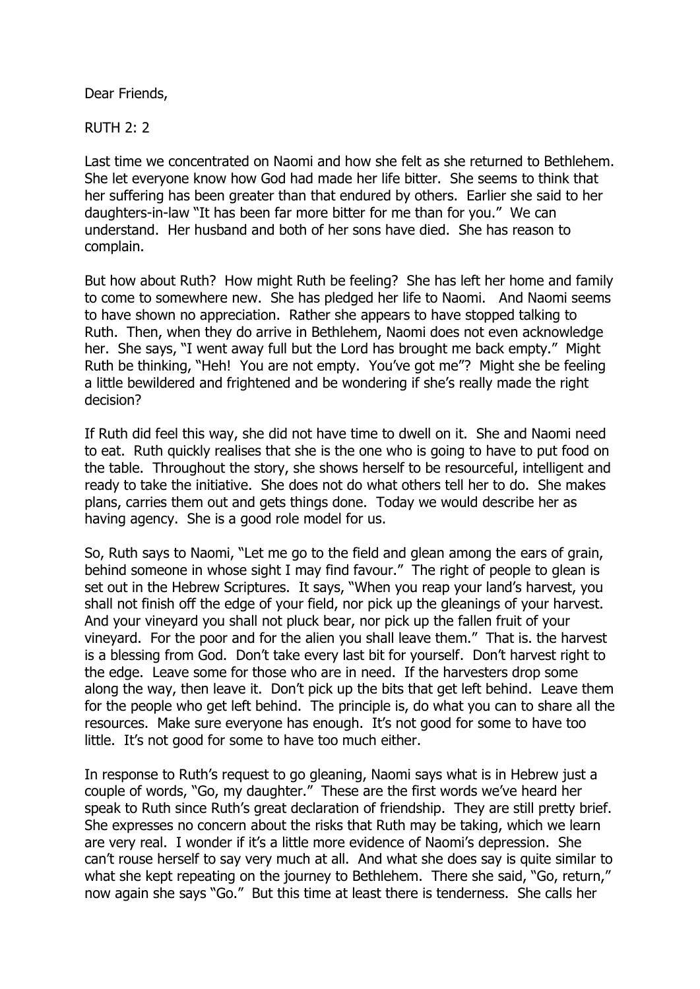Dear Friends,

RUTH 2: 2

Last time we concentrated on Naomi and how she felt as she returned to Bethlehem. She let everyone know how God had made her life bitter. She seems to think that her suffering has been greater than that endured by others. Earlier she said to her daughters-in-law "It has been far more bitter for me than for you." We can understand. Her husband and both of her sons have died. She has reason to complain.

But how about Ruth? How might Ruth be feeling? She has left her home and family to come to somewhere new. She has pledged her life to Naomi. And Naomi seems to have shown no appreciation. Rather she appears to have stopped talking to Ruth. Then, when they do arrive in Bethlehem, Naomi does not even acknowledge her. She says, "I went away full but the Lord has brought me back empty." Might Ruth be thinking, "Heh! You are not empty. You've got me"? Might she be feeling a little bewildered and frightened and be wondering if she's really made the right decision?

If Ruth did feel this way, she did not have time to dwell on it. She and Naomi need to eat. Ruth quickly realises that she is the one who is going to have to put food on the table. Throughout the story, she shows herself to be resourceful, intelligent and ready to take the initiative. She does not do what others tell her to do. She makes plans, carries them out and gets things done. Today we would describe her as having agency. She is a good role model for us.

So, Ruth says to Naomi, "Let me go to the field and glean among the ears of grain, behind someone in whose sight I may find favour." The right of people to glean is set out in the Hebrew Scriptures. It says, "When you reap your land's harvest, you shall not finish off the edge of your field, nor pick up the gleanings of your harvest. And your vineyard you shall not pluck bear, nor pick up the fallen fruit of your vineyard. For the poor and for the alien you shall leave them." That is. the harvest is a blessing from God. Don't take every last bit for yourself. Don't harvest right to the edge. Leave some for those who are in need. If the harvesters drop some along the way, then leave it. Don't pick up the bits that get left behind. Leave them for the people who get left behind. The principle is, do what you can to share all the resources. Make sure everyone has enough. It's not good for some to have too little. It's not good for some to have too much either.

In response to Ruth's request to go gleaning, Naomi says what is in Hebrew just a couple of words, "Go, my daughter." These are the first words we've heard her speak to Ruth since Ruth's great declaration of friendship. They are still pretty brief. She expresses no concern about the risks that Ruth may be taking, which we learn are very real. I wonder if it's a little more evidence of Naomi's depression. She can't rouse herself to say very much at all. And what she does say is quite similar to what she kept repeating on the journey to Bethlehem. There she said, "Go, return," now again she says "Go." But this time at least there is tenderness. She calls her